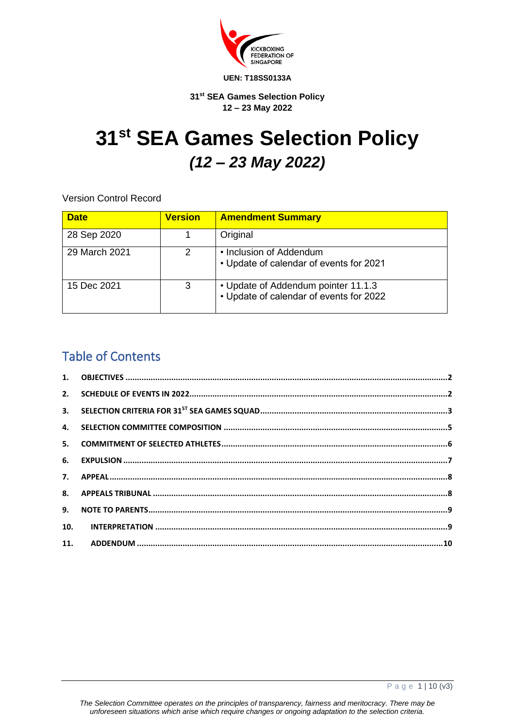

**31 st SEA Games Selection Policy 12 – 23 May 2022**

# **31 st SEA Games Selection Policy** *(12 – 23 May 2022)*

Version Control Record

| <b>Date</b>   | <b>Version</b> | <b>Amendment Summary</b>                                                       |
|---------------|----------------|--------------------------------------------------------------------------------|
| 28 Sep 2020   |                | Original                                                                       |
| 29 March 2021 | 2              | • Inclusion of Addendum<br>• Update of calendar of events for 2021             |
| 15 Dec 2021   | 3              | • Update of Addendum pointer 11.1.3<br>• Update of calendar of events for 2022 |

### Table of Contents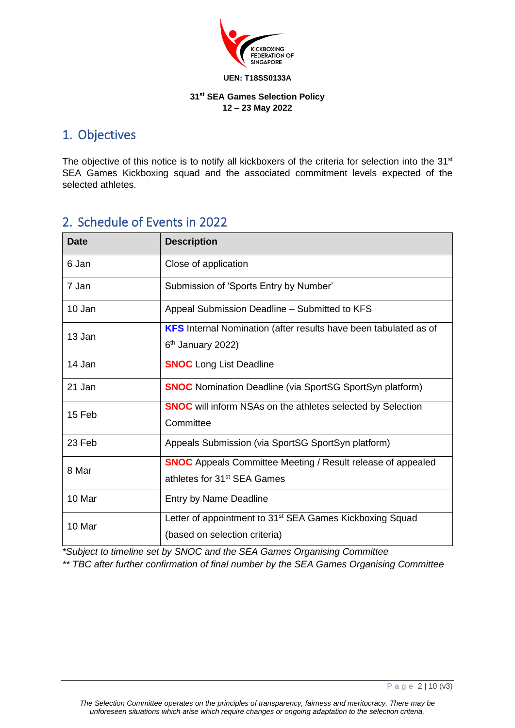

#### **31 st SEA Games Selection Policy 12 – 23 May 2022**

### <span id="page-1-0"></span>1. Objectives

The objective of this notice is to notify all kickboxers of the criteria for selection into the 31<sup>st</sup> SEA Games Kickboxing squad and the associated commitment levels expected of the selected athletes.

| <b>Date</b> | <b>Description</b>                                                      |  |  |
|-------------|-------------------------------------------------------------------------|--|--|
| 6 Jan       | Close of application                                                    |  |  |
| 7 Jan       | Submission of 'Sports Entry by Number'                                  |  |  |
| 10 Jan      | Appeal Submission Deadline – Submitted to KFS                           |  |  |
| 13 Jan      | <b>KFS</b> Internal Nomination (after results have been tabulated as of |  |  |
|             | 6 <sup>th</sup> January 2022)                                           |  |  |
| 14 Jan      | <b>SNOC</b> Long List Deadline                                          |  |  |
| 21 Jan      | <b>SNOC</b> Nomination Deadline (via SportSG SportSyn platform)         |  |  |
| 15 Feb      | <b>SNOC</b> will inform NSAs on the athletes selected by Selection      |  |  |
|             | Committee                                                               |  |  |
| 23 Feb      | Appeals Submission (via SportSG SportSyn platform)                      |  |  |
| 8 Mar       | <b>SNOC</b> Appeals Committee Meeting / Result release of appealed      |  |  |
|             | athletes for 31 <sup>st</sup> SEA Games                                 |  |  |
| 10 Mar      | Entry by Name Deadline                                                  |  |  |
| 10 Mar      | Letter of appointment to 31 <sup>st</sup> SEA Games Kickboxing Squad    |  |  |
|             | (based on selection criteria)                                           |  |  |

### <span id="page-1-1"></span>2. Schedule of Events in 2022

*\*Subject to timeline set by SNOC and the SEA Games Organising Committee*

*\*\* TBC after further confirmation of final number by the SEA Games Organising Committee*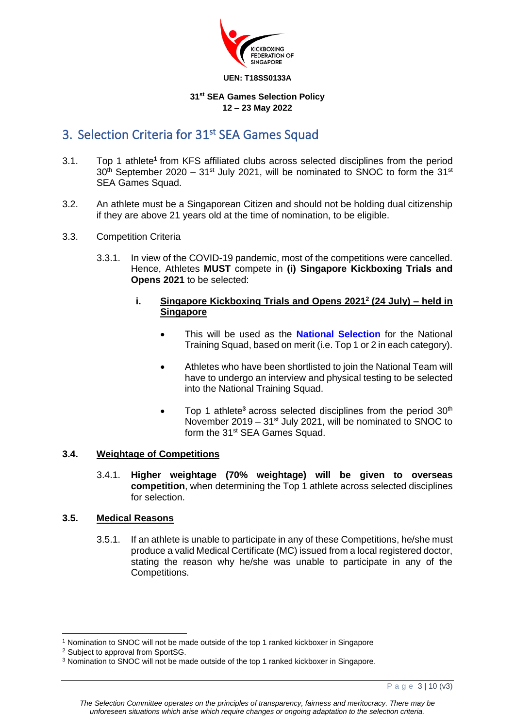

### **31 st SEA Games Selection Policy 12 – 23 May 2022**

### <span id="page-2-0"></span>3. Selection Criteria for 31<sup>st</sup> SEA Games Squad

- 3.1. Top 1 athlete**<sup>1</sup>** from KFS affiliated clubs across selected disciplines from the period  $30<sup>th</sup>$  September 2020 – 31<sup>st</sup> July 2021, will be nominated to SNOC to form the 31<sup>st</sup> SEA Games Squad.
- 3.2. An athlete must be a Singaporean Citizen and should not be holding dual citizenship if they are above 21 years old at the time of nomination, to be eligible.
- 3.3. Competition Criteria
	- 3.3.1. In view of the COVID-19 pandemic, most of the competitions were cancelled. Hence, Athletes **MUST** compete in **(i) Singapore Kickboxing Trials and Opens 2021** to be selected:
		- **i. Singapore Kickboxing Trials and Opens 2021<sup>2</sup> (24 July) – held in Singapore**
			- This will be used as the **National Selection** for the National Training Squad, based on merit (i.e. Top 1 or 2 in each category).
			- Athletes who have been shortlisted to join the National Team will have to undergo an interview and physical testing to be selected into the National Training Squad.
			- Top 1 athlete<sup>3</sup> across selected disciplines from the period 30<sup>th</sup> November 2019 –  $31<sup>st</sup>$  July 2021, will be nominated to SNOC to form the 31<sup>st</sup> SEA Games Squad.

### **3.4. Weightage of Competitions**

3.4.1. **Higher weightage (70% weightage) will be given to overseas competition**, when determining the Top 1 athlete across selected disciplines for selection.

### **3.5. Medical Reasons**

3.5.1. If an athlete is unable to participate in any of these Competitions, he/she must produce a valid Medical Certificate (MC) issued from a local registered doctor, stating the reason why he/she was unable to participate in any of the Competitions.

<sup>1</sup> Nomination to SNOC will not be made outside of the top 1 ranked kickboxer in Singapore

<sup>2</sup> Subject to approval from SportSG.

<sup>3</sup> Nomination to SNOC will not be made outside of the top 1 ranked kickboxer in Singapore.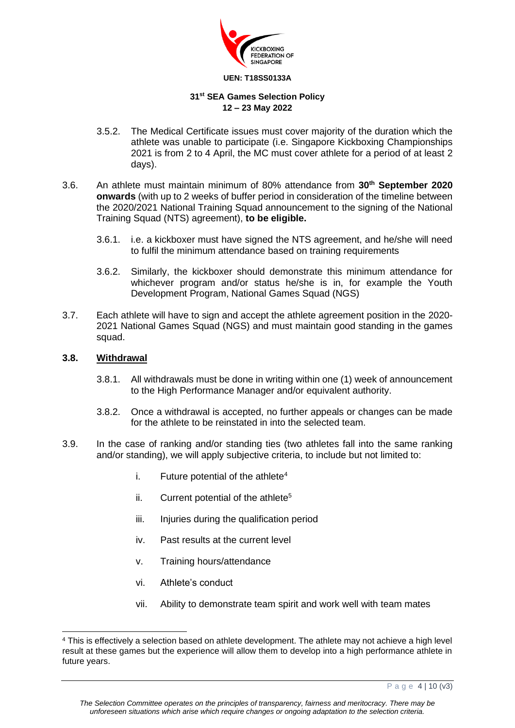

### **31 st SEA Games Selection Policy 12 – 23 May 2022**

- 3.5.2. The Medical Certificate issues must cover majority of the duration which the athlete was unable to participate (i.e. Singapore Kickboxing Championships 2021 is from 2 to 4 April, the MC must cover athlete for a period of at least 2 days).
- 3.6. An athlete must maintain minimum of 80% attendance from **30th September 2020 onwards** (with up to 2 weeks of buffer period in consideration of the timeline between the 2020/2021 National Training Squad announcement to the signing of the National Training Squad (NTS) agreement), **to be eligible.**
	- 3.6.1. i.e. a kickboxer must have signed the NTS agreement, and he/she will need to fulfil the minimum attendance based on training requirements
	- 3.6.2. Similarly, the kickboxer should demonstrate this minimum attendance for whichever program and/or status he/she is in, for example the Youth Development Program, National Games Squad (NGS)
- 3.7. Each athlete will have to sign and accept the athlete agreement position in the 2020- 2021 National Games Squad (NGS) and must maintain good standing in the games squad.

### **3.8. Withdrawal**

- 3.8.1. All withdrawals must be done in writing within one (1) week of announcement to the High Performance Manager and/or equivalent authority.
- 3.8.2. Once a withdrawal is accepted, no further appeals or changes can be made for the athlete to be reinstated in into the selected team.
- 3.9. In the case of ranking and/or standing ties (two athletes fall into the same ranking and/or standing), we will apply subjective criteria, to include but not limited to:
	- i. Future potential of the athlete<sup>4</sup>
	- ii. Current potential of the athlete<sup>5</sup>
	- iii. Injuries during the qualification period
	- iv. Past results at the current level
	- v. Training hours/attendance
	- vi. Athlete's conduct
	- vii. Ability to demonstrate team spirit and work well with team mates

<sup>4</sup> This is effectively a selection based on athlete development. The athlete may not achieve a high level result at these games but the experience will allow them to develop into a high performance athlete in future years.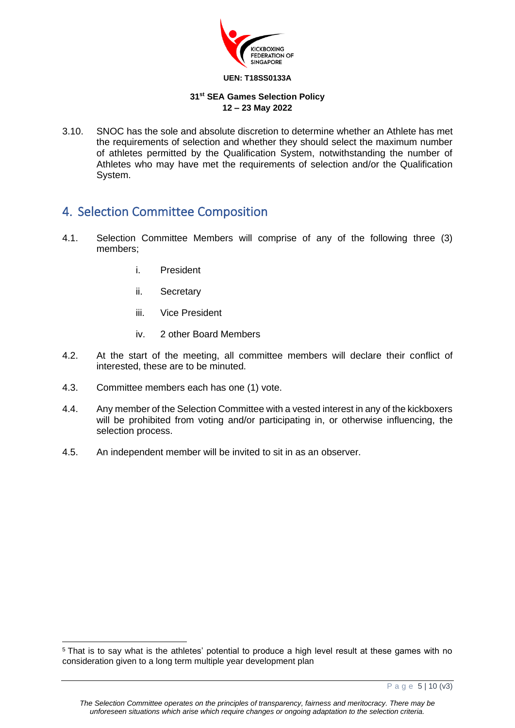

#### **31 st SEA Games Selection Policy 12 – 23 May 2022**

3.10. SNOC has the sole and absolute discretion to determine whether an Athlete has met the requirements of selection and whether they should select the maximum number of athletes permitted by the Qualification System, notwithstanding the number of Athletes who may have met the requirements of selection and/or the Qualification System.

### <span id="page-4-0"></span>4. Selection Committee Composition

- 4.1. Selection Committee Members will comprise of any of the following three (3) members;
	- i. President
	- ii. Secretary
	- iii. Vice President
	- iv. 2 other Board Members
- 4.2. At the start of the meeting, all committee members will declare their conflict of interested, these are to be minuted.
- 4.3. Committee members each has one (1) vote.
- 4.4. Any member of the Selection Committee with a vested interest in any of the kickboxers will be prohibited from voting and/or participating in, or otherwise influencing, the selection process.
- 4.5. An independent member will be invited to sit in as an observer.

<sup>&</sup>lt;sup>5</sup> That is to say what is the athletes' potential to produce a high level result at these games with no consideration given to a long term multiple year development plan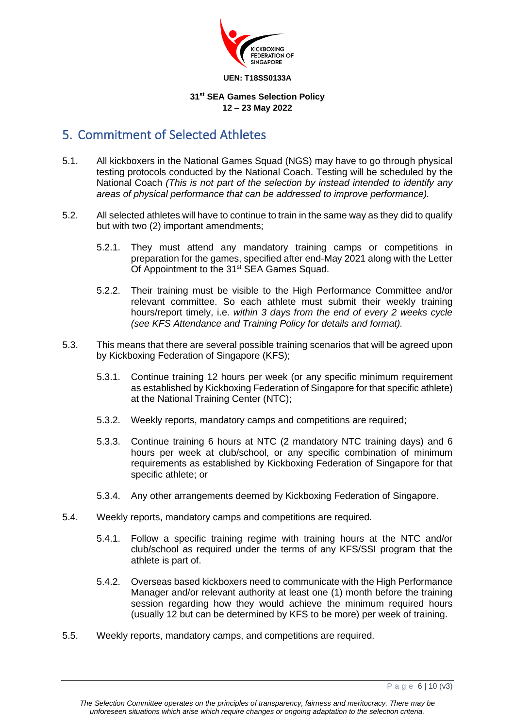

### **31 st SEA Games Selection Policy 12 – 23 May 2022**

### <span id="page-5-0"></span>5. Commitment of Selected Athletes

- 5.1. All kickboxers in the National Games Squad (NGS) may have to go through physical testing protocols conducted by the National Coach. Testing will be scheduled by the National Coach *(This is not part of the selection by instead intended to identify any areas of physical performance that can be addressed to improve performance).*
- 5.2. All selected athletes will have to continue to train in the same way as they did to qualify but with two (2) important amendments;
	- 5.2.1. They must attend any mandatory training camps or competitions in preparation for the games, specified after end-May 2021 along with the Letter Of Appointment to the 31<sup>st</sup> SEA Games Squad.
	- 5.2.2. Their training must be visible to the High Performance Committee and/or relevant committee. So each athlete must submit their weekly training hours/report timely, i.e. *within 3 days from the end of every 2 weeks cycle (see KFS Attendance and Training Policy for details and format).*
- 5.3. This means that there are several possible training scenarios that will be agreed upon by Kickboxing Federation of Singapore (KFS);
	- 5.3.1. Continue training 12 hours per week (or any specific minimum requirement as established by Kickboxing Federation of Singapore for that specific athlete) at the National Training Center (NTC);
	- 5.3.2. Weekly reports, mandatory camps and competitions are required;
	- 5.3.3. Continue training 6 hours at NTC (2 mandatory NTC training days) and 6 hours per week at club/school, or any specific combination of minimum requirements as established by Kickboxing Federation of Singapore for that specific athlete; or
	- 5.3.4. Any other arrangements deemed by Kickboxing Federation of Singapore.
- 5.4. Weekly reports, mandatory camps and competitions are required.
	- 5.4.1. Follow a specific training regime with training hours at the NTC and/or club/school as required under the terms of any KFS/SSI program that the athlete is part of.
	- 5.4.2. Overseas based kickboxers need to communicate with the High Performance Manager and/or relevant authority at least one (1) month before the training session regarding how they would achieve the minimum required hours (usually 12 but can be determined by KFS to be more) per week of training.
- 5.5. Weekly reports, mandatory camps, and competitions are required.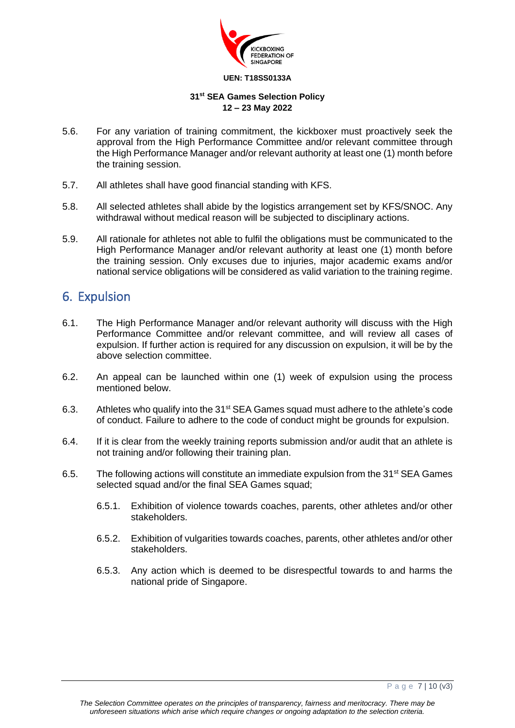

### **31 st SEA Games Selection Policy 12 – 23 May 2022**

- 5.6. For any variation of training commitment, the kickboxer must proactively seek the approval from the High Performance Committee and/or relevant committee through the High Performance Manager and/or relevant authority at least one (1) month before the training session.
- 5.7. All athletes shall have good financial standing with KFS.
- 5.8. All selected athletes shall abide by the logistics arrangement set by KFS/SNOC. Any withdrawal without medical reason will be subjected to disciplinary actions.
- 5.9. All rationale for athletes not able to fulfil the obligations must be communicated to the High Performance Manager and/or relevant authority at least one (1) month before the training session. Only excuses due to injuries, major academic exams and/or national service obligations will be considered as valid variation to the training regime.

### <span id="page-6-0"></span>6. Expulsion

- 6.1. The High Performance Manager and/or relevant authority will discuss with the High Performance Committee and/or relevant committee, and will review all cases of expulsion. If further action is required for any discussion on expulsion, it will be by the above selection committee.
- 6.2. An appeal can be launched within one (1) week of expulsion using the process mentioned below.
- 6.3. Athletes who qualify into the 31<sup>st</sup> SEA Games squad must adhere to the athlete's code of conduct. Failure to adhere to the code of conduct might be grounds for expulsion.
- 6.4. If it is clear from the weekly training reports submission and/or audit that an athlete is not training and/or following their training plan.
- 6.5. The following actions will constitute an immediate expulsion from the 31<sup>st</sup> SEA Games selected squad and/or the final SEA Games squad;
	- 6.5.1. Exhibition of violence towards coaches, parents, other athletes and/or other stakeholders.
	- 6.5.2. Exhibition of vulgarities towards coaches, parents, other athletes and/or other stakeholders.
	- 6.5.3. Any action which is deemed to be disrespectful towards to and harms the national pride of Singapore.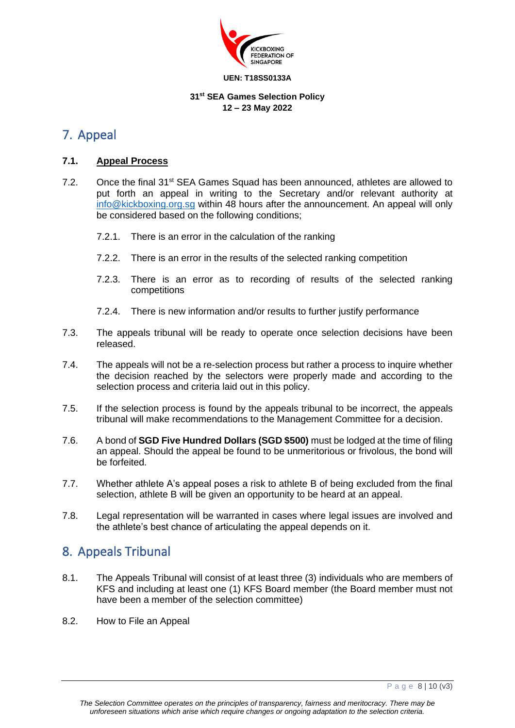

### **31 st SEA Games Selection Policy 12 – 23 May 2022**

### <span id="page-7-0"></span>7. Appeal

### **7.1. Appeal Process**

- 7.2. Once the final 31<sup>st</sup> SEA Games Squad has been announced, athletes are allowed to put forth an appeal in writing to the Secretary and/or relevant authority at [info@kickboxing.org.sg](mailto:info@kickboxing.org.sg) within 48 hours after the announcement. An appeal will only be considered based on the following conditions;
	- 7.2.1. There is an error in the calculation of the ranking
	- 7.2.2. There is an error in the results of the selected ranking competition
	- 7.2.3. There is an error as to recording of results of the selected ranking competitions
	- 7.2.4. There is new information and/or results to further justify performance
- 7.3. The appeals tribunal will be ready to operate once selection decisions have been released.
- 7.4. The appeals will not be a re-selection process but rather a process to inquire whether the decision reached by the selectors were properly made and according to the selection process and criteria laid out in this policy.
- 7.5. If the selection process is found by the appeals tribunal to be incorrect, the appeals tribunal will make recommendations to the Management Committee for a decision.
- 7.6. A bond of **SGD Five Hundred Dollars (SGD \$500)** must be lodged at the time of filing an appeal. Should the appeal be found to be unmeritorious or frivolous, the bond will be forfeited.
- 7.7. Whether athlete A's appeal poses a risk to athlete B of being excluded from the final selection, athlete B will be given an opportunity to be heard at an appeal.
- 7.8. Legal representation will be warranted in cases where legal issues are involved and the athlete's best chance of articulating the appeal depends on it.

### <span id="page-7-1"></span>8. Appeals Tribunal

- 8.1. The Appeals Tribunal will consist of at least three (3) individuals who are members of KFS and including at least one (1) KFS Board member (the Board member must not have been a member of the selection committee)
- 8.2. How to File an Appeal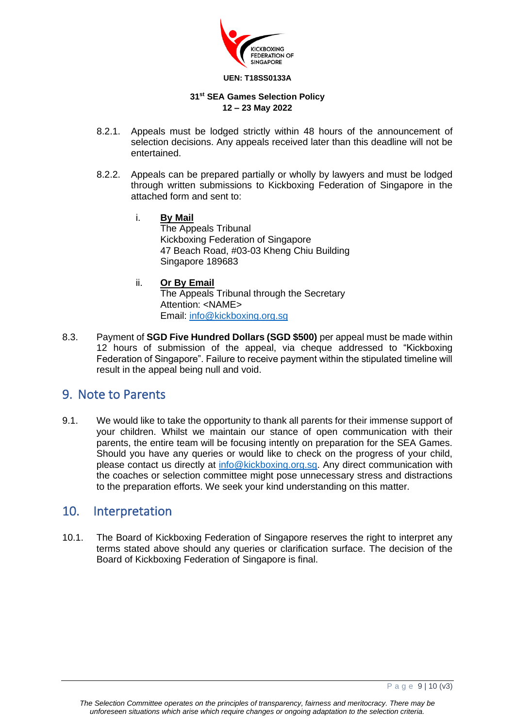

### **31 st SEA Games Selection Policy 12 – 23 May 2022**

- 8.2.1. Appeals must be lodged strictly within 48 hours of the announcement of selection decisions. Any appeals received later than this deadline will not be entertained.
- 8.2.2. Appeals can be prepared partially or wholly by lawyers and must be lodged through written submissions to Kickboxing Federation of Singapore in the attached form and sent to:
	- i. **By Mail** The Appeals Tribunal Kickboxing Federation of Singapore 47 Beach Road, #03-03 Kheng Chiu Building Singapore 189683

## ii. **Or By Email**

The Appeals Tribunal through the Secretary Attention: <NAME> Email: info@kickboxing.org.sg

8.3. Payment of **SGD Five Hundred Dollars (SGD \$500)** per appeal must be made within 12 hours of submission of the appeal, via cheque addressed to "Kickboxing Federation of Singapore". Failure to receive payment within the stipulated timeline will result in the appeal being null and void.

### <span id="page-8-0"></span>9. Note to Parents

9.1. We would like to take the opportunity to thank all parents for their immense support of your children. Whilst we maintain our stance of open communication with their parents, the entire team will be focusing intently on preparation for the SEA Games. Should you have any queries or would like to check on the progress of your child, please contact us directly at [info@kickboxing.org.sg.](mailto:info@kickboxing.org.sg) Any direct communication with the coaches or selection committee might pose unnecessary stress and distractions to the preparation efforts. We seek your kind understanding on this matter.

### <span id="page-8-1"></span>10. Interpretation

10.1. The Board of Kickboxing Federation of Singapore reserves the right to interpret any terms stated above should any queries or clarification surface. The decision of the Board of Kickboxing Federation of Singapore is final.

P a g e 9 | 10 (v3)